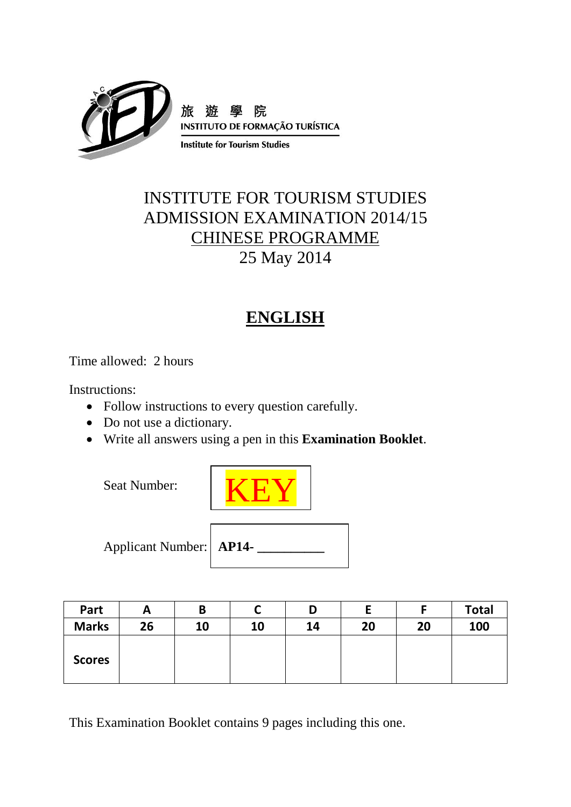

# INSTITUTE FOR TOURISM STUDIES ADMISSION EXAMINATION 2014/15 CHINESE PROGRAMME 25 May 2014

# **ENGLISH**

Time allowed: 2 hours

Instructions:

- Follow instructions to every question carefully.
- Do not use a dictionary.
- Write all answers using a pen in this **Examination Booklet**.

Seat Number:



Applicant Number: **AP14- \_\_\_\_\_\_\_\_\_\_**

| Part          | A  |    |    | D  |    |    | Total |
|---------------|----|----|----|----|----|----|-------|
| <b>Marks</b>  | 26 | 10 | 10 | 14 | 20 | 20 | 100   |
| <b>Scores</b> |    |    |    |    |    |    |       |

This Examination Booklet contains 9 pages including this one.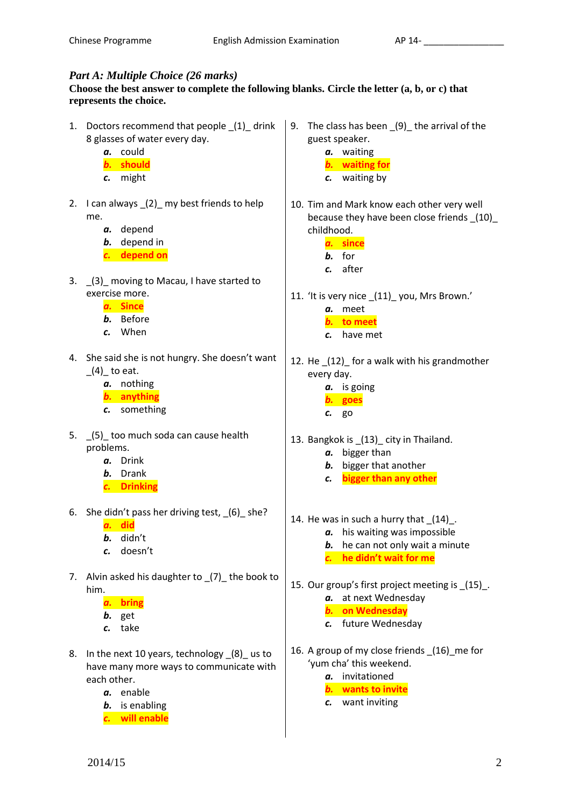### *Part A: Multiple Choice (26 marks)*

#### **Choose the best answer to complete the following blanks. Circle the letter (a, b, or c) that represents the choice.**

- 1. Doctors recommend that people (1) drink 8 glasses of water every day.
	- *a.* could
	- *b.* **should**
	- *c.* might
- 2. I can always \_(2)\_ my best friends to help me.
	- *a.* depend
	- *b.* depend in
	- *c.* **depend on**
- 3. (3) moving to Macau, I have started to exercise more.
	- *a.* **Since**
	- *b.* Before
	- *c.* When
- 4. She said she is not hungry. She doesn't want  $(4)$  to eat.
	- *a.* nothing
	- *b.* **anything**
	- *c.* something
- 5. \_(5)\_ too much soda can cause health problems.
	- *a.* Drink
	- *b.* Drank
	- *c.* **Drinking**
- 6. She didn't pass her driving test, \_(6)\_ she?
	- *a.* **did**
	- *b.* didn't
	- *c.* doesn't
- 7. Alvin asked his daughter to (7) the book to him.
	- *a.* **bring**
	- *b.* get
	- *c.* take
- 8. In the next 10 years, technology  $(8)$  us to have many more ways to communicate with each other.
	- *a.* enable
	- *b.* is enabling
	- *c.* **will enable**
- 9. The class has been (9) the arrival of the guest speaker.
	- *a.* waiting *b.* **waiting for**
	- *c.* waiting by
- 10. Tim and Mark know each other very well because they have been close friends \_(10)\_ childhood.
	- *a.* **since** *b.* for
	- *c.* after
- 11. 'It is very nice (11) you, Mrs Brown.' *a.* meet
	- *b.* **to meet**
	- *c.* have met
- 12. He \_(12)\_ for a walk with his grandmother every day.
	- *a.* is going
	- *b.* **goes**  *c.* go
- 13. Bangkok is \_(13)\_ city in Thailand.
	- *a.* bigger than
	- *b.* bigger that another
	- *c.* **bigger than any other**
- 14. He was in such a hurry that  $(14)$ .
	- *a.* his waiting was impossible
		- *b.* he can not only wait a minute *c.* **he didn't wait for me**
- 15. Our group's first project meeting is \_(15)\_. *a.* at next Wednesday
	- *b.* **on Wednesday**
	- *c.* future Wednesday
- 16. A group of my close friends (16) me for 'yum cha' this weekend.
	- *a.* invitationed
	- *b.* **wants to invite**
	- *c.* want inviting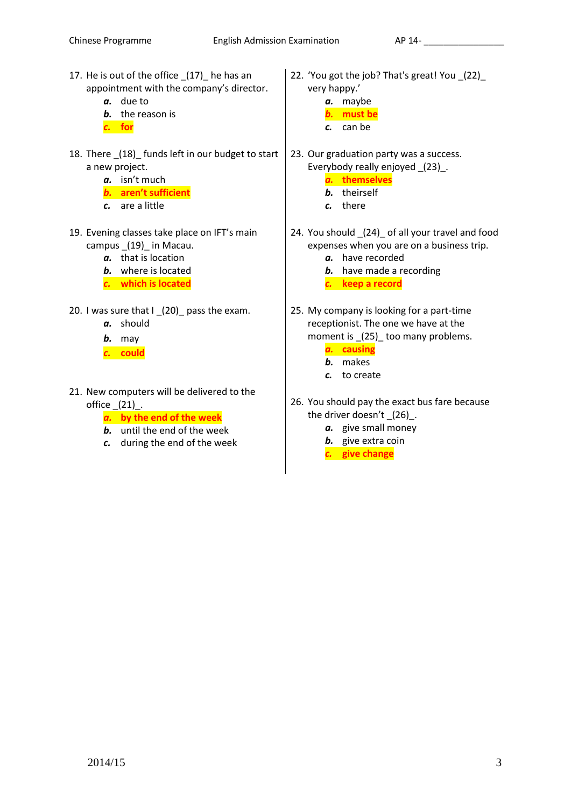- 17. He is out of the office \_(17)\_ he has an appointment with the company's director.
	- *a.* due to
	- *b.* the reason is
	- *c.* **for**
- 18. There \_(18)\_ funds left in our budget to start a new project.
	- *a.* isn't much
	- *b.* **aren't sufficient**
	- *c.* are a little
- 19. Evening classes take place on IFT's main campus \_(19)\_ in Macau.
	- *a.* that is location
	- *b.* where is located
	- *c.* **which is located**
- 20. I was sure that I (20) pass the exam.
	- *a.* should
	- *b.* may
	- *c.* **could**
- 21. New computers will be delivered to the office  $(21)$ .
	- *a.* **by the end of the week**
	- *b.* until the end of the week
	- *c.* during the end of the week
- 22. 'You got the job? That's great! You \_(22)\_ very happy.'
	- *a.* maybe
	- *b.* **must be**
	- *c.* can be
- 23. Our graduation party was a success. Everybody really enjoyed \_(23)\_.
	- *a.* **themselves**
	- *b.* theirself
	- *c.* there
- 24. You should \_(24)\_ of all your travel and food expenses when you are on a business trip.
	- *a.* have recorded
	- *b.* have made a recording
	- *c.* **keep a record**
- 25. My company is looking for a part-time receptionist. The one we have at the moment is \_(25)\_ too many problems.
	- *a.* **causing**
	- *b.* makes
	- *c.* to create
- 26. You should pay the exact bus fare because the driver doesn't \_(26)\_.
	- *a.* give small money
	- *b.* give extra coin
	- *c.* **give change**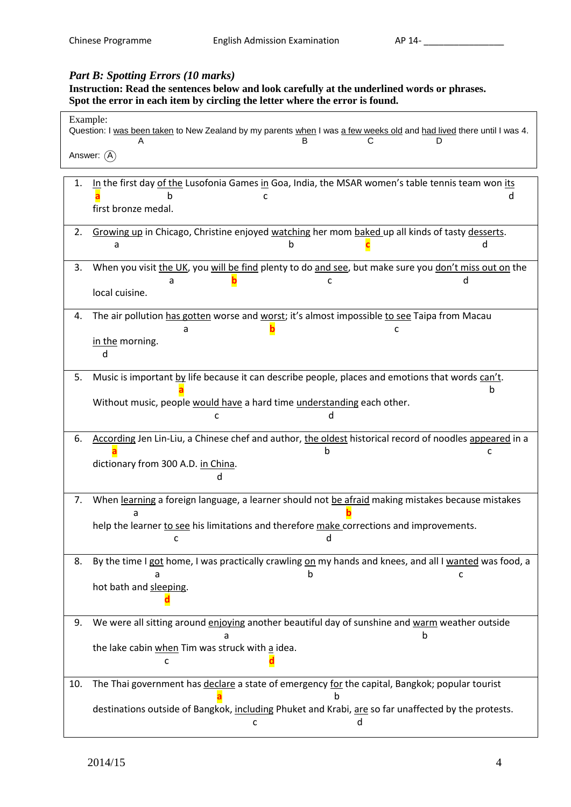### *Part B: Spotting Errors (10 marks)*

**Instruction: Read the sentences below and look carefully at the underlined words or phrases. Spot the error in each item by circling the letter where the error is found.**

| Example:<br>Question: I was been taken to New Zealand by my parents when I was a few weeks old and had lived there until I was 4.                                                                                      |  |  |  |  |
|------------------------------------------------------------------------------------------------------------------------------------------------------------------------------------------------------------------------|--|--|--|--|
| Answer: $(\widehat{A})$                                                                                                                                                                                                |  |  |  |  |
| In the first day of the Lusofonia Games in Goa, India, the MSAR women's table tennis team won its<br>1.<br>first bronze medal.                                                                                         |  |  |  |  |
| 2.<br>Growing up in Chicago, Christine enjoyed watching her mom baked up all kinds of tasty desserts.<br>a                                                                                                             |  |  |  |  |
| When you visit the UK, you will be find plenty to do and see, but make sure you don't miss out on the<br>3.<br>a<br>C<br>local cuisine.                                                                                |  |  |  |  |
| The air pollution has gotten worse and worst; it's almost impossible to see Taipa from Macau<br>4.<br>а<br>c<br>in the morning.<br>d                                                                                   |  |  |  |  |
| 5.<br>Music is important by life because it can describe people, places and emotions that words can't.<br>h<br>Without music, people would have a hard time understanding each other.<br>c                             |  |  |  |  |
| According Jen Lin-Liu, a Chinese chef and author, the oldest historical record of noodles appeared in a<br>6.<br>b<br>c<br>dictionary from 300 A.D. in China.                                                          |  |  |  |  |
| When learning a foreign language, a learner should not be afraid making mistakes because mistakes<br>7.<br>a<br>help the learner to see his limitations and therefore make corrections and improvements.<br>a<br>C     |  |  |  |  |
| By the time I got home, I was practically crawling on my hands and knees, and all I wanted was food, a<br>8.<br>h<br>c<br>hot bath and sleeping.                                                                       |  |  |  |  |
| We were all sitting around enjoying another beautiful day of sunshine and warm weather outside<br>9.<br>b<br>a<br>the lake cabin when Tim was struck with a idea.<br>c                                                 |  |  |  |  |
| The Thai government has declare a state of emergency for the capital, Bangkok; popular tourist<br>10.<br>destinations outside of Bangkok, including Phuket and Krabi, are so far unaffected by the protests.<br>d<br>c |  |  |  |  |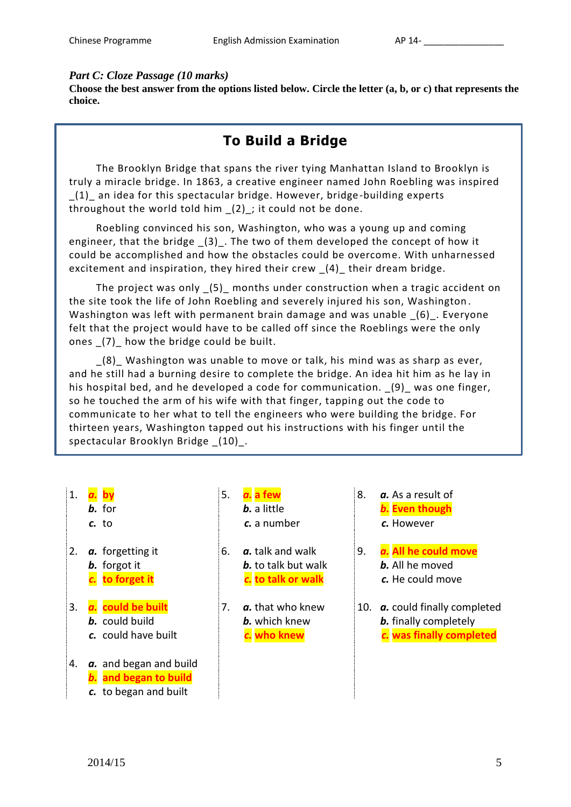#### *Part C: Cloze Passage (10 marks)*

**Choose the best answer from the options listed below. Circle the letter (a, b, or c) that represents the choice.**

# **To Build a Bridge**

The Brooklyn Bridge that spans the river tying Manhattan Island to Brooklyn is truly a miracle bridge. In 1863, a creative engineer named John Roebling was inspired \_(1)\_ an idea for this spectacular bridge. However, bridge-building experts throughout the world told him  $(2)$ ; it could not be done.

Roebling convinced his son, Washington, who was a young up and coming engineer, that the bridge \_(3)\_. The two of them developed the concept of how it could be accomplished and how the obstacles could be overcome. With unharnessed excitement and inspiration, they hired their crew  $(4)$  their dream bridge.

The project was only \_(5)\_ months under construction when a tragic accident on the site took the life of John Roebling and severely injured his son, Washington . Washington was left with permanent brain damage and was unable  $(6)$ . Everyone felt that the project would have to be called off since the Roeblings were the only ones (7) how the bridge could be built.

\_(8)\_ Washington was unable to move or talk, his mind was as sharp as ever, and he still had a burning desire to complete the bridge. An idea hit him as he lay in his hospital bed, and he developed a code for communication.  $(9)$  was one finger, so he touched the arm of his wife with that finger, tapping out the code to communicate to her what to tell the engineers who were building the bridge. For thirteen years, Washington tapped out his instructions with his finger until the spectacular Brooklyn Bridge \_(10)\_.

- 1. *a.* **by** 5. *a.* **a few** 8. *a.* As a result of *c.* to *c.* a number *c.* However 4. *a.* and began and build *b.* **and began to build** *c.* to began and built
	-
	- **b.** forgot it **b.** to talk but walk **b.** All he moved
	- *c.* could have built *c.* **who knew** *c.* **was finally completed**
	- *b.* for *b.* a little *b.* **Even though**
- 2. *a.* forgetting it 6. *a.* talk and walk 9. *a.* **All he could move** *c.* **to forget it** *c.* **to talk or walk** *c.* He could move
- 3. *a.* **could be built** 7. *a.* that who knew 10. *a.* could finally completed **b.** could build **b.** which knew **b.** finally completely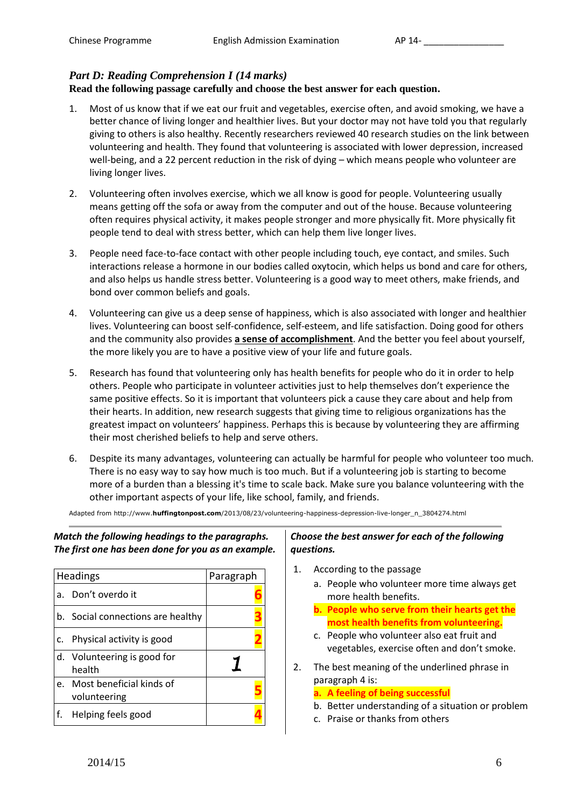# *Part D: Reading Comprehension I (14 marks)*

#### **Read the following passage carefully and choose the best answer for each question.**

- 1. Most of us know that if we eat our fruit and vegetables, exercise often, and avoid smoking, we have a better chance of living longer and healthier lives. But your doctor may not have told you that regularly giving to others is also healthy. Recently researchers reviewed 40 research studies on the link between volunteering and health. They found that volunteering is associated with lower depression, increased well-being, and a 22 percent reduction in the risk of dying – which means people who volunteer are living longer lives.
- 2. Volunteering often involves exercise, which we all know is good for people. Volunteering usually means getting off the sofa or away from the computer and out of the house. Because volunteering often requires physical activity, it makes people stronger and more physically fit. More physically fit people tend to deal with stress better, which can help them live longer lives.
- 3. People need face-to-face contact with other people including touch, eye contact, and smiles. Such interactions release a hormone in our bodies called oxytocin, which helps us bond and care for others, and also helps us handle stress better. Volunteering is a good way to meet others, make friends, and bond over common beliefs and goals.
- 4. Volunteering can give us a deep sense of happiness, which is also associated with longer and healthier lives. Volunteering can boost self-confidence, self-esteem, and life satisfaction. Doing good for others and the community also provides **a sense of accomplishment**. And the better you feel about yourself, the more likely you are to have a positive view of your life and future goals.
- 5. Research has found that volunteering only has health benefits for people who do it in order to help others. People who participate in volunteer activities just to help themselves don't experience the same positive effects. So it is important that volunteers pick a cause they care about and help from their hearts. In addition, new research suggests that giving time to religious organizations has the greatest impact on volunteers' happiness. Perhaps this is because by volunteering they are affirming their most cherished beliefs to help and serve others.
- 6. Despite its many advantages, volunteering can actually be harmful for people who volunteer too much. There is no easy way to say how much is too much. But if a volunteering job is starting to become more of a burden than a blessing it's time to scale back. Make sure you balance volunteering with the other important aspects of your life, like school, family, and friends.

Adapted from http://www.**huffingtonpost.com**/2013/08/23/volunteering-happiness-depression-live-longer\_n\_3804274.html

*Match the following headings to the paragraphs. The first one has been done for you as an example.*

| Headings |                                          | Paragraph |  |
|----------|------------------------------------------|-----------|--|
| a.       | Don't overdo it                          |           |  |
|          | b. Social connections are healthy        |           |  |
| C.       | Physical activity is good                |           |  |
|          | d. Volunteering is good for<br>health    |           |  |
| e.       | Most beneficial kinds of<br>volunteering |           |  |
|          | Helping feels good                       |           |  |

#### *Choose the best answer for each of the following questions.*

- 1. According to the passage
	- a. People who volunteer more time always get more health benefits.
	- **b. People who serve from their hearts get the most health benefits from volunteering.**
	- c. People who volunteer also eat fruit and vegetables, exercise often and don't smoke.
- 2. The best meaning of the underlined phrase in paragraph 4 is:

#### **a. A feeling of being successful**

- b. Better understanding of a situation or problem
- c. Praise or thanks from others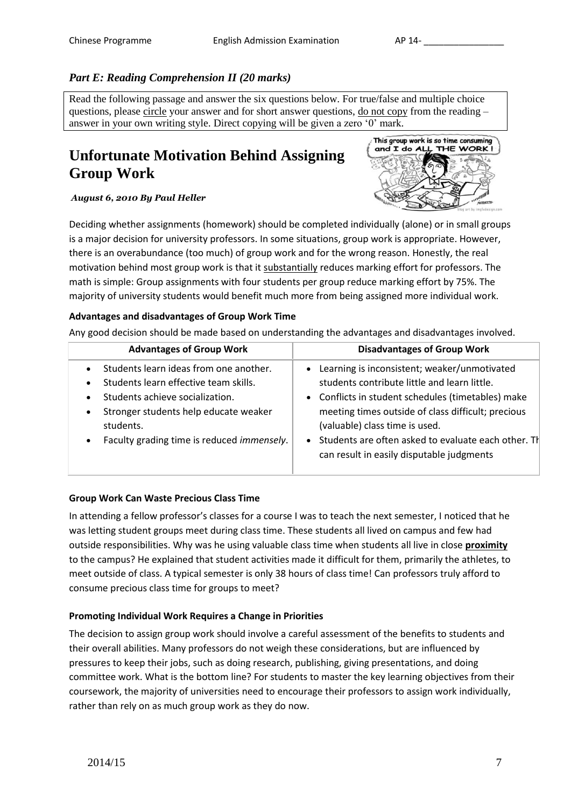# *Part E: Reading Comprehension II (20 marks)*

Read the following passage and answer the six questions below. For true/false and multiple choice questions, please circle your answer and for short answer questions, do not copy from the reading – answer in your own writing style. Direct copying will be given a zero '0' mark.

# **Unfortunate Motivation Behind Assigning Group Work**

*August 6, 2010 By Paul Heller*



Deciding whether assignments (homework) should be completed individually (alone) or in small groups is a major decision for university professors. In some situations, group work is appropriate. However, there is an overabundance (too much) of group work and for the wrong reason. Honestly, the real motivation behind most group work is that it substantially reduces marking effort for professors. The math is simple: Group assignments with four students per group reduce marking effort by 75%. The majority of university students would benefit much more from being assigned more individual work.

#### **Advantages and disadvantages of Group Work Time**

Any good decision should be made based on understanding the advantages and disadvantages involved.

| <b>Advantages of Group Work</b>                                                                                                                                                                                                                                                         | <b>Disadvantages of Group Work</b>                                                                                                                                                                                                                                                                                                                  |
|-----------------------------------------------------------------------------------------------------------------------------------------------------------------------------------------------------------------------------------------------------------------------------------------|-----------------------------------------------------------------------------------------------------------------------------------------------------------------------------------------------------------------------------------------------------------------------------------------------------------------------------------------------------|
| Students learn ideas from one another.<br>$\bullet$<br>Students learn effective team skills.<br>$\bullet$<br>Students achieve socialization.<br>$\bullet$<br>Stronger students help educate weaker<br>$\bullet$<br>students.<br>Faculty grading time is reduced immensely.<br>$\bullet$ | • Learning is inconsistent; weaker/unmotivated<br>students contribute little and learn little.<br>• Conflicts in student schedules (timetables) make<br>meeting times outside of class difficult; precious<br>(valuable) class time is used.<br>• Students are often asked to evaluate each other. The<br>can result in easily disputable judgments |

#### **Group Work Can Waste Precious Class Time**

In attending a fellow professor's classes for a course I was to teach the next semester, I noticed that he was letting student groups meet during class time. These students all lived on campus and few had outside responsibilities. Why was he using valuable class time when students all live in close **proximity** to the campus? He explained that student activities made it difficult for them, primarily the athletes, to meet outside of class. A typical semester is only 38 hours of class time! Can professors truly afford to consume precious class time for groups to meet?

#### **Promoting Individual Work Requires a Change in Priorities**

The decision to assign group work should involve a careful assessment of the benefits to students and their overall abilities. Many professors do not weigh these considerations, but are influenced by pressures to keep their jobs, such as doing research, publishing, giving presentations, and doing committee work. What is the bottom line? For students to master the key learning objectives from their coursework, the majority of universities need to encourage their professors to assign work individually, rather than rely on as much group work as they do now.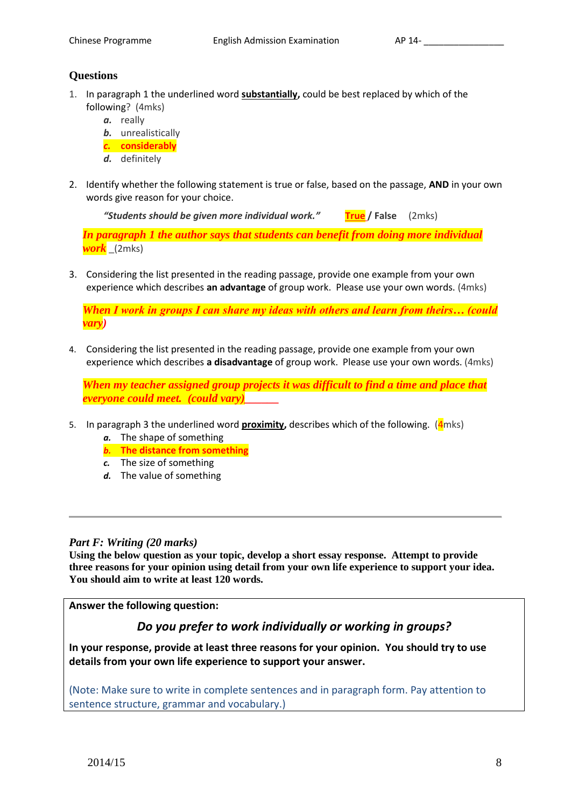### **Questions**

- 1. In paragraph 1 the underlined word **substantially,** could be best replaced by which of the following? (4mks)
	- *a.* really
	- *b.* unrealistically
	- *c.* **considerably**
	- *d.* definitely
- 2. Identify whether the following statement is true or false, based on the passage, **AND** in your own words give reason for your choice.

*"Students should be given more individual work."* **True / False** (2mks)

*In paragraph 1 the author says that students can benefit from doing more individual work* \_(2mks)

3. Considering the list presented in the reading passage, provide one example from your own experience which describes **an advantage** of group work. Please use your own words. (4mks)

*When I work in groups I can share my ideas with others and learn from theirs… (could vary)*

4. Considering the list presented in the reading passage, provide one example from your own experience which describes **a disadvantage** of group work. Please use your own words. (4mks)

*When my teacher assigned group projects it was difficult to find a time and place that everyone could meet. (could vary)\_\_\_\_\_\_*

- 5. In paragraph 3 the underlined word **proximity,** describes which of the following. (4mks)
	- *a.* The shape of something
	- *b.* **The distance from something**
	- *c.* The size of something
	- *d.* The value of something

#### *Part F: Writing (20 marks)*

**Using the below question as your topic, develop a short essay response. Attempt to provide three reasons for your opinion using detail from your own life experience to support your idea. You should aim to write at least 120 words.**

**Answer the following question:** 

# *Do you prefer to work individually or working in groups?*

**In your response, provide at least three reasons for your opinion. You should try to use details from your own life experience to support your answer.**

(Note: Make sure to write in complete sentences and in paragraph form. Pay attention to sentence structure, grammar and vocabulary.)